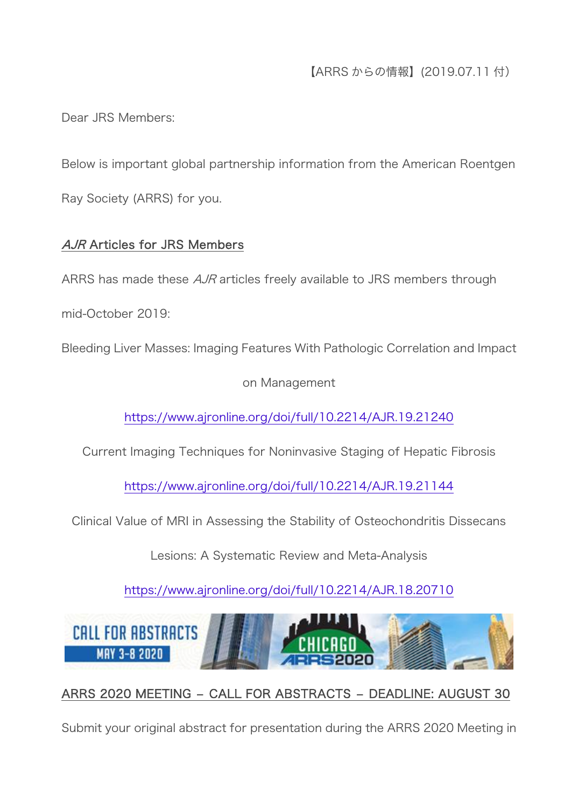【ARRS からの情報】(2019.07.11 付)

Dear JRS Members:

Below is important global partnership information from the American Roentgen Ray Society (ARRS) for you.

# AJR Articles for JRS Members

ARRS has made these AJR articles freely available to JRS members through

mid-October 2019:

Bleeding Liver Masses: Imaging Features With Pathologic Correlation and Impact

on Management

<https://www.ajronline.org/doi/full/10.2214/AJR.19.21240>

Current Imaging Techniques for Noninvasive Staging of Hepatic Fibrosis

<https://www.ajronline.org/doi/full/10.2214/AJR.19.21144>

Clinical Value of MRI in Assessing the Stability of Osteochondritis Dissecans

Lesions: A Systematic Review and Meta-Analysis

<https://www.ajronline.org/doi/full/10.2214/AJR.18.20710>



# ARRS 2020 MEETING – CALL FOR ABSTRACTS – DEADLINE: AUGUST 30

Submit your original abstract for presentation during the ARRS 2020 Meeting in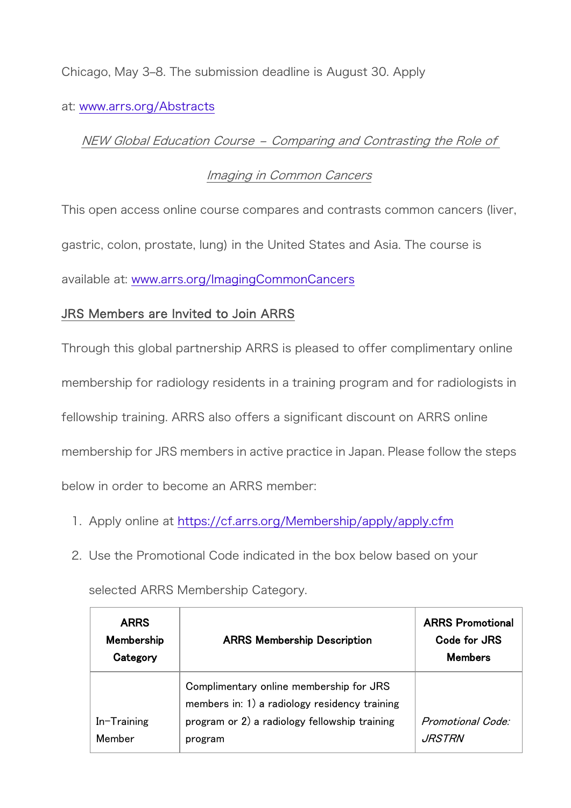Chicago, May 3–8. The submission deadline is August 30. Apply

#### at: [www.arrs.org/Abstracts](https://www.arrs.org/Abstracts)

#### NEW Global Education Course – Comparing and Contrasting the Role of

### Imaging in Common Cancers

This open access online course compares and contrasts common cancers (liver, gastric, colon, prostate, lung) in the United States and Asia. The course is available at: [www.arrs.org/ImagingCommonCancers](https://www.arrs.org/ImagingCommonCancers)

# JRS Members are Invited to Join ARRS

Through this global partnership ARRS is pleased to offer complimentary online membership for radiology residents in a training program and for radiologists in fellowship training. ARRS also offers a significant discount on ARRS online membership for JRS members in active practice in Japan. Please follow the steps below in order to become an ARRS member:

- 1. Apply online at <https://cf.arrs.org/Membership/apply/apply.cfm>
- 2. Use the Promotional Code indicated in the box below based on your

| <b>ARRS</b><br>Membership<br>Category | <b>ARRS Membership Description</b>                                                       | <b>ARRS Promotional</b><br>Code for JRS<br><b>Members</b> |
|---------------------------------------|------------------------------------------------------------------------------------------|-----------------------------------------------------------|
|                                       | Complimentary online membership for JRS<br>members in: 1) a radiology residency training |                                                           |
| In-Training<br>Member                 | program or 2) a radiology fellowship training<br>program                                 | Promotional Code:<br><i>JRSTRN</i>                        |

selected ARRS Membership Category.